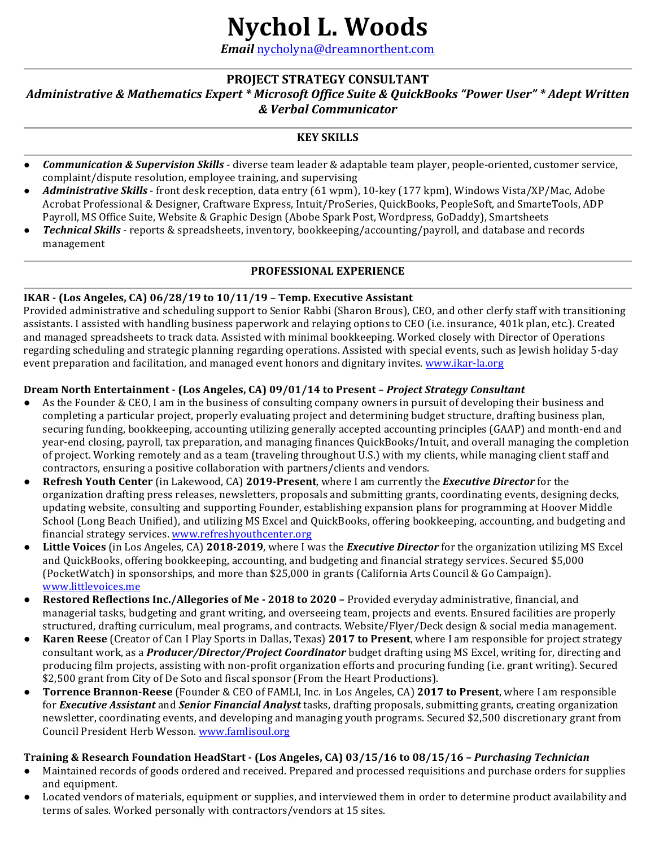# **Nychol L. Woods**

*Email* nycholyna@dreamnorthent.com

## **PROJECT STRATEGY CONSULTANT** *Administrative & Mathematics Expert* \* Microsoft Office Suite & QuickBooks "Power User" \* Adept Written *& Verbal Communicator*

## **KEY SKILLS**

- *Communication & Supervision Skills* diverse team leader & adaptable team player, people-oriented, customer service, complaint/dispute resolution, employee training, and supervising
- Administrative Skills front desk reception, data entry (61 wpm), 10-key (177 kpm), Windows Vista/XP/Mac, Adobe Acrobat Professional & Designer, Craftware Express, Intuit/ProSeries, QuickBooks, PeopleSoft, and SmarteTools, ADP Payroll, MS Office Suite, Website & Graphic Design (Abobe Spark Post, Wordpress, GoDaddy), Smartsheets
- *Technical Skills* reports & spreadsheets, inventory, bookkeeping/accounting/payroll, and database and records management

## **PROFESSIONAL EXPERIENCE**

### **IKAR - (Los Angeles, CA) 06/28/19 to 10/11/19 – Temp. Executive Assistant**

Provided administrative and scheduling support to Senior Rabbi (Sharon Brous), CEO, and other clerfy staff with transitioning assistants. I assisted with handling business paperwork and relaying options to CEO (i.e. insurance, 401k plan, etc.). Created and managed spreadsheets to track data. Assisted with minimal bookkeeping. Worked closely with Director of Operations regarding scheduling and strategic planning regarding operations. Assisted with special events, such as Jewish holiday 5-day event preparation and facilitation, and managed event honors and dignitary invites. www.ikar-la.org

### **Dream North Entertainment - (Los Angeles, CA) 09/01/14 to Present –** *Project Strategy Consultant*

- As the Founder & CEO, I am in the business of consulting company owners in pursuit of developing their business and completing a particular project, properly evaluating project and determining budget structure, drafting business plan, securing funding, bookkeeping, accounting utilizing generally accepted accounting principles (GAAP) and month-end and year-end closing, payroll, tax preparation, and managing finances QuickBooks/Intuit, and overall managing the completion of project. Working remotely and as a team (traveling throughout U.S.) with my clients, while managing client staff and contractors, ensuring a positive collaboration with partners/clients and vendors.
- **Refresh Youth Center** (in Lakewood, CA) 2019-Present, where I am currently the *Executive Director* for the organization drafting press releases, newsletters, proposals and submitting grants, coordinating events, designing decks, updating website, consulting and supporting Founder, establishing expansion plans for programming at Hoover Middle School (Long Beach Unified), and utilizing MS Excel and QuickBooks, offering bookkeeping, accounting, and budgeting and financial strategy services. www.refreshyouthcenter.org
- **Little Voices** (in Los Angeles, CA) 2018-2019, where I was the *Executive Director* for the organization utilizing MS Excel and QuickBooks, offering bookkeeping, accounting, and budgeting and financial strategy services. Secured \$5,000 (PocketWatch) in sponsorships, and more than \$25,000 in grants (California Arts Council & Go Campaign). www.littlevoices.me
- **Restored Reflections Inc./Allegories of Me 2018 to 2020 Provided everyday administrative, financial, and** managerial tasks, budgeting and grant writing, and overseeing team, projects and events. Ensured facilities are properly structured, drafting curriculum, meal programs, and contracts. Website/Flyer/Deck design & social media management.
- **Karen Reese** (Creator of Can I Play Sports in Dallas, Texas) 2017 to Present, where I am responsible for project strategy consultant work, as a *Producer/Director/Project Coordinator* budget drafting using MS Excel, writing for, directing and producing film projects, assisting with non-profit organization efforts and procuring funding (i.e. grant writing). Secured \$2,500 grant from City of De Soto and fiscal sponsor (From the Heart Productions).
- **Torrence Brannon-Reese** (Founder & CEO of FAMLI, Inc. in Los Angeles, CA) 2017 to Present, where I am responsible for *Executive Assistant* and *Senior Financial Analyst* tasks, drafting proposals, submitting grants, creating organization newsletter, coordinating events, and developing and managing youth programs. Secured \$2,500 discretionary grant from Council President Herb Wesson. www.famlisoul.org

## **Training & Research Foundation HeadStart - (Los Angeles, CA) 03/15/16 to 08/15/16 –** *Purchasing Technician*

- Maintained records of goods ordered and received. Prepared and processed requisitions and purchase orders for supplies and equipment.
- Located vendors of materials, equipment or supplies, and interviewed them in order to determine product availability and terms of sales. Worked personally with contractors/vendors at 15 sites.